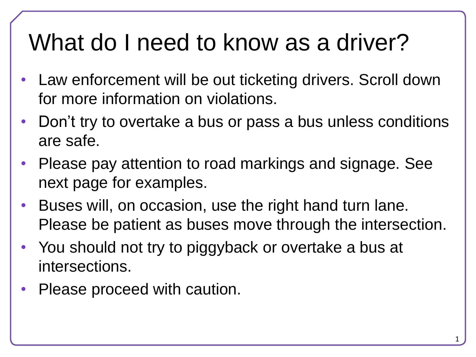# What do I need to know as a driver?

- Law enforcement will be out ticketing drivers. Scroll down for more information on violations.
- Don't try to overtake a bus or pass a bus unless conditions are safe.
- Please pay attention to road markings and signage. See next page for examples.
- Buses will, on occasion, use the right hand turn lane. Please be patient as buses move through the intersection.
- You should not try to piggyback or overtake a bus at intersections.
- Please proceed with caution.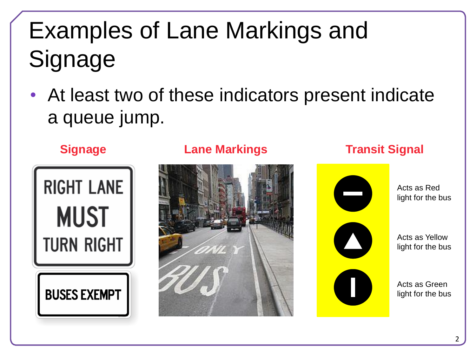# Examples of Lane Markings and **Signage**

• At least two of these indicators present indicate a queue jump.



### **Signage Lane Markings Transit Signal**





Acts as Red light for the bus

Acts as Yellow light for the bus

Acts as Green light for the bus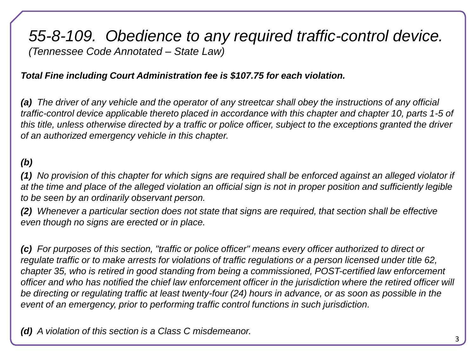### *55-8-109. Obedience to any required traffic-control device. (Tennessee Code Annotated – State Law)*

#### *Total Fine including Court Administration fee is \$107.75 for each violation.*

*(a) The driver of any vehicle and the operator of any streetcar shall obey the instructions of any official traffic-control device applicable thereto placed in accordance with this chapter and chapter 10, parts 1-5 of this title, unless otherwise directed by a traffic or police officer, subject to the exceptions granted the driver of an authorized emergency vehicle in this chapter.*

#### *(b)*

*(1) No provision of this chapter for which signs are required shall be enforced against an alleged violator if at the time and place of the alleged violation an official sign is not in proper position and sufficiently legible to be seen by an ordinarily observant person.*

*(2) Whenever a particular section does not state that signs are required, that section shall be effective even though no signs are erected or in place.*

*(c) For purposes of this section, "traffic or police officer" means every officer authorized to direct or regulate traffic or to make arrests for violations of traffic regulations or a person licensed under title 62, chapter 35, who is retired in good standing from being a commissioned, POST-certified law enforcement officer and who has notified the chief law enforcement officer in the jurisdiction where the retired officer will be directing or regulating traffic at least twenty-four (24) hours in advance, or as soon as possible in the event of an emergency, prior to performing traffic control functions in such jurisdiction.*

*(d) A violation of this section is a Class C misdemeanor.*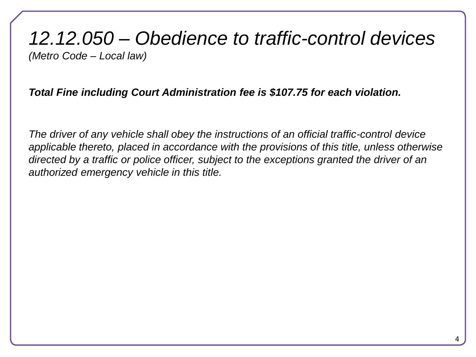## *12.12.050 – Obedience to traffic-control devices (Metro Code – Local law)*

#### *Total Fine including Court Administration fee is \$107.75 for each violation.*

*The driver of any vehicle shall obey the instructions of an official traffic-control device applicable thereto, placed in accordance with the provisions of this title, unless otherwise directed by a traffic or police officer, subject to the exceptions granted the driver of an authorized emergency vehicle in this title.*